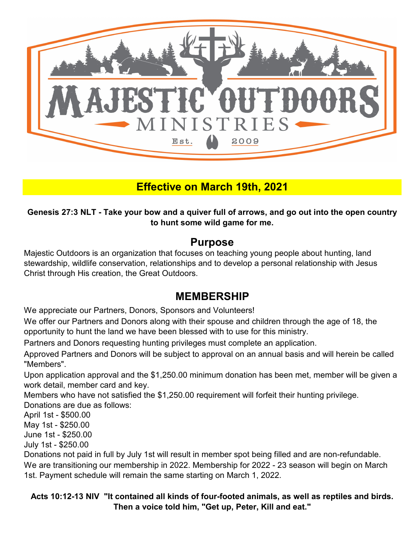

### **Effective on March 19th, 2021**

**Genesis 27:3 NLT - Take your bow and a quiver full of arrows, and go out into the open country to hunt some wild game for me.**

#### **Purpose**

Majestic Outdoors is an organization that focuses on teaching young people about hunting, land stewardship, wildlife conservation, relationships and to develop a personal relationship with Jesus Christ through His creation, the Great Outdoors.

#### **MEMBERSHIP**

We appreciate our Partners, Donors, Sponsors and Volunteers!

We offer our Partners and Donors along with their spouse and children through the age of 18, the opportunity to hunt the land we have been blessed with to use for this ministry.

Partners and Donors requesting hunting privileges must complete an application.

Approved Partners and Donors will be subject to approval on an annual basis and will herein be called "Members".

Upon application approval and the \$1,250.00 minimum donation has been met, member will be given a work detail, member card and key.

Donations are due as follows: Members who have not satisfied the \$1,250.00 requirement will forfeit their hunting privilege.

April 1st - \$500.00

May 1st - \$250.00

June 1st - \$250.00

July 1st - \$250.00

Donations not paid in full by July 1st will result in member spot being filled and are non-refundable.

We are transitioning our membership in 2022. Membership for 2022 - 23 season will begin on March 1st. Payment schedule will remain the same starting on March 1, 2022.

**Acts 10:12-13 NIV "It contained all kinds of four-footed animals, as well as reptiles and birds. Then a voice told him, "Get up, Peter, Kill and eat."**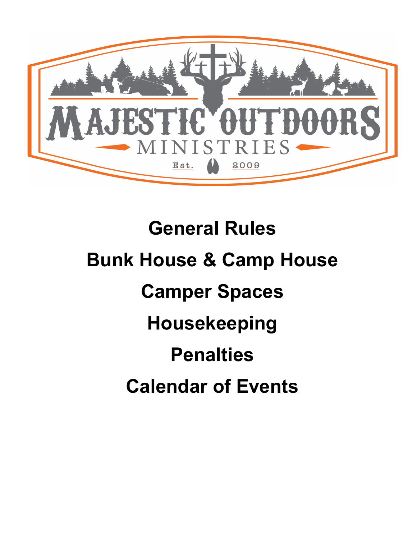

# **Penalties Calendar of Events Bunk House & Camp House General Rules Camper Spaces Housekeeping**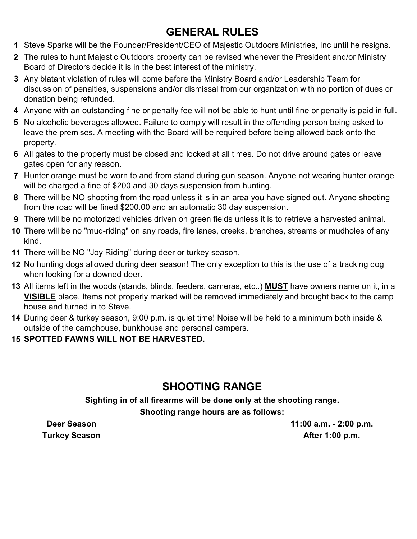### **GENERAL RULES**

- **1** Steve Sparks will be the Founder/President/CEO of Majestic Outdoors Ministries, Inc until he resigns.
- **2** The rules to hunt Majestic Outdoors property can be revised whenever the President and/or Ministry Board of Directors decide it is in the best interest of the ministry.
- **3** Any blatant violation of rules will come before the Ministry Board and/or Leadership Team for discussion of penalties, suspensions and/or dismissal from our organization with no portion of dues or donation being refunded.
- **4** Anyone with an outstanding fine or penalty fee will not be able to hunt until fine or penalty is paid in full.
- **5** No alcoholic beverages allowed. Failure to comply will result in the offending person being asked to leave the premises. A meeting with the Board will be required before being allowed back onto the property.
- **6** All gates to the property must be closed and locked at all times. Do not drive around gates or leave gates open for any reason.
- **7** Hunter orange must be worn to and from stand during gun season. Anyone not wearing hunter orange will be charged a fine of \$200 and 30 days suspension from hunting.
- **8** There will be NO shooting from the road unless it is in an area you have signed out. Anyone shooting from the road will be fined \$200.00 and an automatic 30 day suspension.
- **9** There will be no motorized vehicles driven on green fields unless it is to retrieve a harvested animal.
- **10** There will be no "mud-riding" on any roads, fire lanes, creeks, branches, streams or mudholes of any kind.
- **11** There will be NO "Joy Riding" during deer or turkey season.
- **12** No hunting dogs allowed during deer season! The only exception to this is the use of a tracking dog when looking for a downed deer.
- **13** All items left in the woods (stands, blinds, feeders, cameras, etc..) **MUST** have owners name on it, in a **VISIBLE** place. Items not properly marked will be removed immediately and brought back to the camp house and turned in to Steve.
- **14** During deer & turkey season, 9:00 p.m. is quiet time! Noise will be held to a minimum both inside & outside of the camphouse, bunkhouse and personal campers.

#### **15 SPOTTED FAWNS WILL NOT BE HARVESTED.**

### **SHOOTING RANGE**

**Shooting range hours are as follows: Sighting in of all firearms will be done only at the shooting range.**

**Deer Season Turkey Season** **11:00 a.m. - 2:00 p.m. After 1:00 p.m.**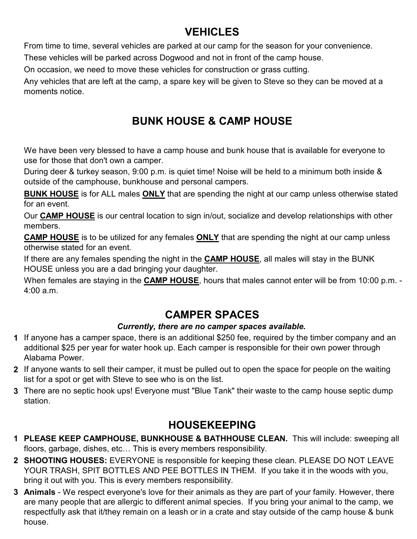### **VEHICLES**

From time to time, several vehicles are parked at our camp for the season for your convenience.

These vehicles will be parked across Dogwood and not in front of the camp house.

On occasion, we need to move these vehicles for construction or grass cutting.

Any vehicles that are left at the camp, a spare key will be given to Steve so they can be moved at a moments notice.

### **BUNK HOUSE & CAMP HOUSE**

We have been very blessed to have a camp house and bunk house that is available for everyone to use for those that don't own a camper.

During deer & turkey season, 9:00 p.m. is quiet time! Noise will be held to a minimum both inside & outside of the camphouse, bunkhouse and personal campers.

**BUNK HOUSE** is for ALL males **ONLY** that are spending the night at our camp unless otherwise stated for an event.

Our **CAMP HOUSE** is our central location to sign in/out, socialize and develop relationships with other members.

**CAMP HOUSE** is to be utilized for any females **ONLY** that are spending the night at our camp unless otherwise stated for an event.

If there are any females spending the night in the **CAMP HOUSE**, all males will stay in the BUNK HOUSE unless you are a dad bringing your daughter.

When females are staying in the **CAMP HOUSE**, hours that males cannot enter will be from 10:00 p.m. - 4:00 a.m.

### **CAMPER SPACES**

#### *Currently, there are no camper spaces available.*

- **1** If anyone has a camper space, there is an additional \$250 fee, required by the timber company and an additional \$25 per year for water hook up. Each camper is responsible for their own power through Alabama Power.
- **2** If anyone wants to sell their camper, it must be pulled out to open the space for people on the waiting list for a spot or get with Steve to see who is on the list.
- **3** There are no septic hook ups! Everyone must "Blue Tank" their waste to the camp house septic dump station.

### **HOUSEKEEPING**

- **1 PLEASE KEEP CAMPHOUSE, BUNKHOUSE & BATHHOUSE CLEAN.** This will include: sweeping all floors, garbage, dishes, etc… This is every members responsibility.
- **2 SHOOTING HOUSES:** EVERYONE is responsible for keeping these clean. PLEASE DO NOT LEAVE YOUR TRASH, SPIT BOTTLES AND PEE BOTTLES IN THEM. If you take it in the woods with you, bring it out with you. This is every members responsibility.
- **3 Animals** We respect everyone's love for their animals as they are part of your family. However, there are many people that are allergic to different animal species. If you bring your animal to the camp, we respectfully ask that it/they remain on a leash or in a crate and stay outside of the camp house & bunk house.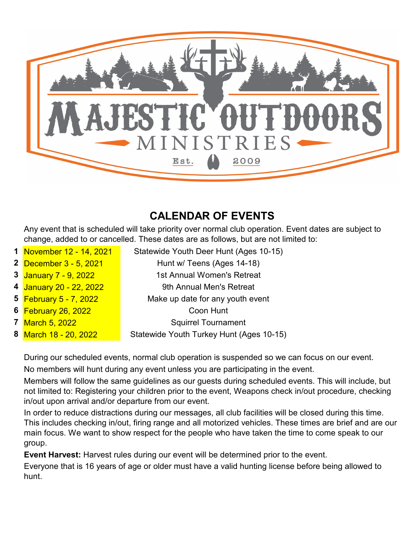

### **CALENDAR OF EVENTS**

Any event that is scheduled will take priority over normal club operation. Event dates are subject to change, added to or cancelled. These dates are as follows, but are not limited to:

- **1** November 12 14, 2021
- **2** December 3 5, 2021
- **3** January 7 9, 2022
- **4** January 20 22, 2022
- **5** February 5 7, 2022
- **6** February 26, 2022
- **7** March 5, 2022
- **8** March 18 20, 2022

Hunt w/ Teens (Ages 14-18) Make up date for any youth event 9th Annual Men's Retreat 1st Annual Women's Retreat

Statewide Youth Deer Hunt (Ages 10-15)

Coon Hunt

Squirrel Tournament

Statewide Youth Turkey Hunt (Ages 10-15)

During our scheduled events, normal club operation is suspended so we can focus on our event. No members will hunt during any event unless you are participating in the event.

Members will follow the same guidelines as our guests during scheduled events. This will include, but not limited to: Registering your children prior to the event, Weapons check in/out procedure, checking in/out upon arrival and/or departure from our event.

In order to reduce distractions during our messages, all club facilities will be closed during this time. This includes checking in/out, firing range and all motorized vehicles. These times are brief and are our main focus. We want to show respect for the people who have taken the time to come speak to our group.

**Event Harvest:** Harvest rules during our event will be determined prior to the event.

Everyone that is 16 years of age or older must have a valid hunting license before being allowed to hunt.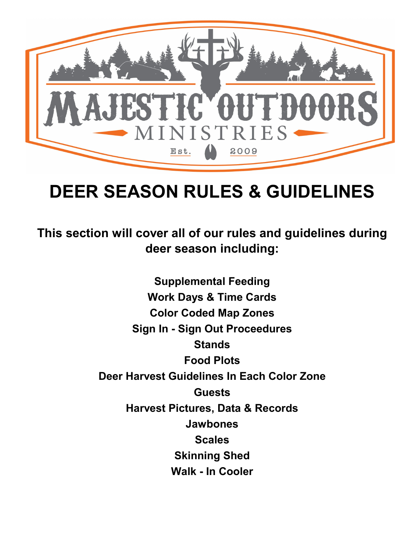

## **DEER SEASON RULES & GUIDELINES**

**This section will cover all of our rules and guidelines during deer season including:**

> **Stands Supplemental Feeding Scales Jawbones Food Plots Guests Harvest Pictures, Data & Records Deer Harvest Guidelines In Each Color Zone Walk - In Cooler Sign In - Sign Out Proceedures Work Days & Time Cards Skinning Shed Color Coded Map Zones**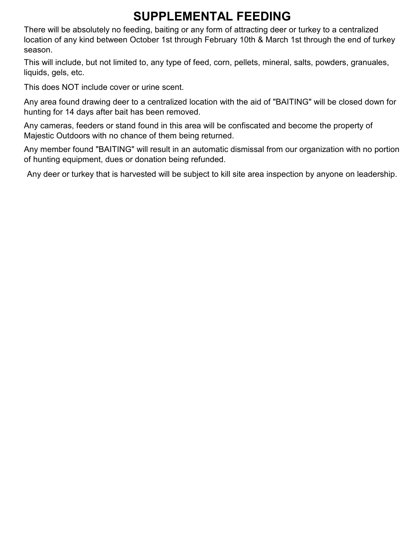### **SUPPLEMENTAL FEEDING**

There will be absolutely no feeding, baiting or any form of attracting deer or turkey to a centralized location of any kind between October 1st through February 10th & March 1st through the end of turkey season.

This will include, but not limited to, any type of feed, corn, pellets, mineral, salts, powders, granuales, liquids, gels, etc.

This does NOT include cover or urine scent.

Any area found drawing deer to a centralized location with the aid of "BAITING" will be closed down for hunting for 14 days after bait has been removed.

Any cameras, feeders or stand found in this area will be confiscated and become the property of Majestic Outdoors with no chance of them being returned.

Any member found "BAITING" will result in an automatic dismissal from our organization with no portion of hunting equipment, dues or donation being refunded.

Any deer or turkey that is harvested will be subject to kill site area inspection by anyone on leadership.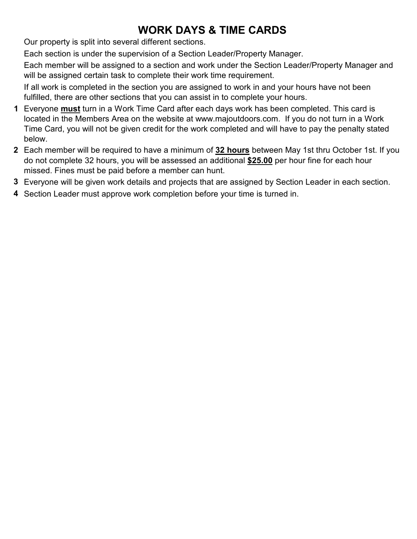### **WORK DAYS & TIME CARDS**

Our property is split into several different sections.

Each section is under the supervision of a Section Leader/Property Manager.

Each member will be assigned to a section and work under the Section Leader/Property Manager and will be assigned certain task to complete their work time requirement.

If all work is completed in the section you are assigned to work in and your hours have not been fulfilled, there are other sections that you can assist in to complete your hours.

- **1** Everyone **must** turn in a Work Time Card after each days work has been completed. This card is located in the Members Area on the website at www.majoutdoors.com. If you do not turn in a Work Time Card, you will not be given credit for the work completed and will have to pay the penalty stated below.
- **2** Each member will be required to have a minimum of **32 hours** between May 1st thru October 1st. If you do not complete 32 hours, you will be assessed an additional **\$25.00** per hour fine for each hour missed. Fines must be paid before a member can hunt.
- **3** Everyone will be given work details and projects that are assigned by Section Leader in each section.
- **4** Section Leader must approve work completion before your time is turned in.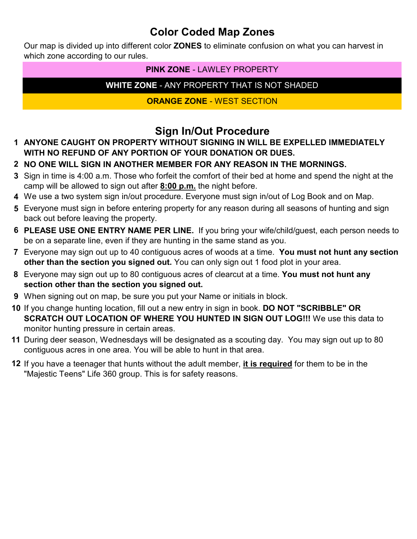#### **Color Coded Map Zones**

Our map is divided up into different color **ZONES** to eliminate confusion on what you can harvest in which zone according to our rules.

#### **PINK ZONE** - LAWLEY PROPERTY

#### **WHITE ZONE** - ANY PROPERTY THAT IS NOT SHADED

#### **ORANGE ZONE** - WEST SECTION

#### **Sign In/Out Procedure**

- **1 ANYONE CAUGHT ON PROPERTY WITHOUT SIGNING IN WILL BE EXPELLED IMMEDIATELY WITH NO REFUND OF ANY PORTION OF YOUR DONATION OR DUES.**
- **2 NO ONE WILL SIGN IN ANOTHER MEMBER FOR ANY REASON IN THE MORNINGS.**
- **3** Sign in time is 4:00 a.m. Those who forfeit the comfort of their bed at home and spend the night at the camp will be allowed to sign out after **8:00 p.m.** the night before.
- **4** We use a two system sign in/out procedure. Everyone must sign in/out of Log Book and on Map.
- **5** Everyone must sign in before entering property for any reason during all seasons of hunting and sign back out before leaving the property.
- **6 PLEASE USE ONE ENTRY NAME PER LINE.** If you bring your wife/child/guest, each person needs to be on a separate line, even if they are hunting in the same stand as you.
- **7** Everyone may sign out up to 40 contiguous acres of woods at a time. **You must not hunt any section other than the section you signed out.** You can only sign out 1 food plot in your area.
- **8** Everyone may sign out up to 80 contiguous acres of clearcut at a time. **You must not hunt any section other than the section you signed out.**
- **9** When signing out on map, be sure you put your Name or initials in block.
- **10** If you change hunting location, fill out a new entry in sign in book. **DO NOT "SCRIBBLE" OR SCRATCH OUT LOCATION OF WHERE YOU HUNTED IN SIGN OUT LOG!!!** We use this data to monitor hunting pressure in certain areas.
- **11** During deer season, Wednesdays will be designated as a scouting day. You may sign out up to 80 contiguous acres in one area. You will be able to hunt in that area.
- **12** If you have a teenager that hunts without the adult member, **it is required** for them to be in the "Majestic Teens" Life 360 group. This is for safety reasons.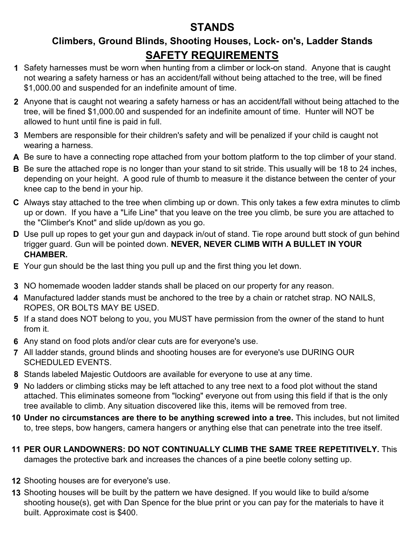#### **STANDS**

#### **Climbers, Ground Blinds, Shooting Houses, Lock- on's, Ladder Stands SAFETY REQUIREMENTS**

- **1** Safety harnesses must be worn when hunting from a climber or lock-on stand. Anyone that is caught not wearing a safety harness or has an accident/fall without being attached to the tree, will be fined \$1,000.00 and suspended for an indefinite amount of time.
- **2** Anyone that is caught not wearing a safety harness or has an accident/fall without being attached to the tree, will be fined \$1,000.00 and suspended for an indefinite amount of time. Hunter will NOT be allowed to hunt until fine is paid in full.
- **3** Members are responsible for their children's safety and will be penalized if your child is caught not wearing a harness.
- **A** Be sure to have a connecting rope attached from your bottom platform to the top climber of your stand.
- **B** Be sure the attached rope is no longer than your stand to sit stride. This usually will be 18 to 24 inches, depending on your height. A good rule of thumb to measure it the distance between the center of your knee cap to the bend in your hip.
- **C** Always stay attached to the tree when climbing up or down. This only takes a few extra minutes to climb up or down. If you have a "Life Line" that you leave on the tree you climb, be sure you are attached to the "Climber's Knot" and slide up/down as you go.
- **D** Use pull up ropes to get your gun and daypack in/out of stand. Tie rope around butt stock of gun behind trigger guard. Gun will be pointed down. **NEVER, NEVER CLIMB WITH A BULLET IN YOUR CHAMBER.**
- **E** Your gun should be the last thing you pull up and the first thing you let down.
- **3** NO homemade wooden ladder stands shall be placed on our property for any reason.
- **4** Manufactured ladder stands must be anchored to the tree by a chain or ratchet strap. NO NAILS, ROPES, OR BOLTS MAY BE USED.
- **5** If a stand does NOT belong to you, you MUST have permission from the owner of the stand to hunt from it.
- **6** Any stand on food plots and/or clear cuts are for everyone's use.
- **7** All ladder stands, ground blinds and shooting houses are for everyone's use DURING OUR SCHEDULED EVENTS.
- **8** Stands labeled Majestic Outdoors are available for everyone to use at any time.
- **9** No ladders or climbing sticks may be left attached to any tree next to a food plot without the stand attached. This eliminates someone from "locking" everyone out from using this field if that is the only tree available to climb. Any situation discovered like this, items will be removed from tree.
- **10 Under no circumstances are there to be anything screwed into a tree.** This includes, but not limited to, tree steps, bow hangers, camera hangers or anything else that can penetrate into the tree itself.
- **11 PER OUR LANDOWNERS: DO NOT CONTINUALLY CLIMB THE SAME TREE REPETITIVELY.** This damages the protective bark and increases the chances of a pine beetle colony setting up.
- **12** Shooting houses are for everyone's use.
- **13** Shooting houses will be built by the pattern we have designed. If you would like to build a/some shooting house(s), get with Dan Spence for the blue print or you can pay for the materials to have it built. Approximate cost is \$400.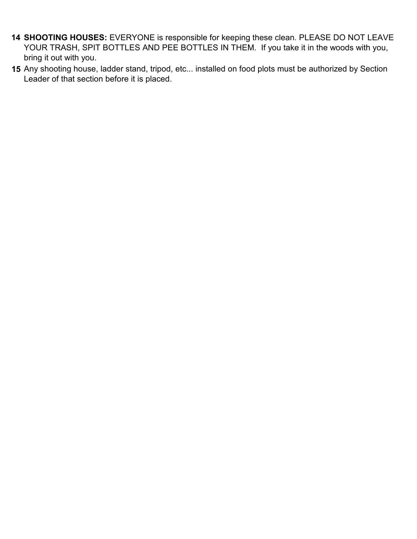- **14 SHOOTING HOUSES:** EVERYONE is responsible for keeping these clean. PLEASE DO NOT LEAVE YOUR TRASH, SPIT BOTTLES AND PEE BOTTLES IN THEM. If you take it in the woods with you, bring it out with you.
- **15** Any shooting house, ladder stand, tripod, etc... installed on food plots must be authorized by Section Leader of that section before it is placed.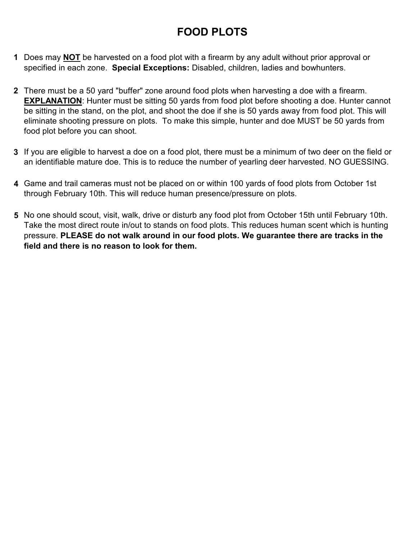### **FOOD PLOTS**

- **1** Does may **NOT** be harvested on a food plot with a firearm by any adult without prior approval or specified in each zone. **Special Exceptions:** Disabled, children, ladies and bowhunters.
- **2** There must be a 50 yard "buffer" zone around food plots when harvesting a doe with a firearm. **EXPLANATION**: Hunter must be sitting 50 yards from food plot before shooting a doe. Hunter cannot be sitting in the stand, on the plot, and shoot the doe if she is 50 yards away from food plot. This will eliminate shooting pressure on plots. To make this simple, hunter and doe MUST be 50 yards from food plot before you can shoot.
- **3** If you are eligible to harvest a doe on a food plot, there must be a minimum of two deer on the field or an identifiable mature doe. This is to reduce the number of yearling deer harvested. NO GUESSING.
- **4** Game and trail cameras must not be placed on or within 100 yards of food plots from October 1st through February 10th. This will reduce human presence/pressure on plots.
- **5** No one should scout, visit, walk, drive or disturb any food plot from October 15th until February 10th. Take the most direct route in/out to stands on food plots. This reduces human scent which is hunting pressure. **PLEASE do not walk around in our food plots. We guarantee there are tracks in the field and there is no reason to look for them.**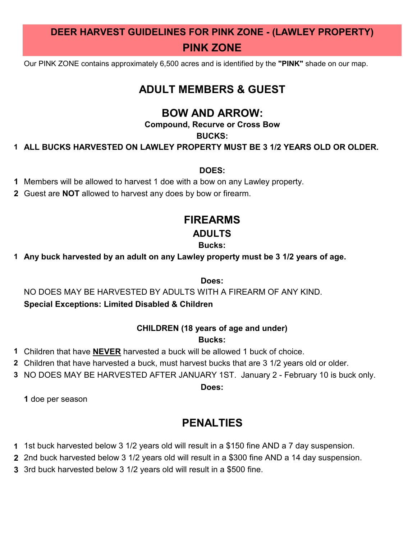### **DEER HARVEST GUIDELINES FOR PINK ZONE - (LAWLEY PROPERTY) PINK ZONE**

Our PINK ZONE contains approximately 6,500 acres and is identified by the **"PINK"** shade on our map.

#### **ADULT MEMBERS & GUEST**

#### **BOW AND ARROW:**

**Compound, Recurve or Cross Bow**

#### **BUCKS:**

**1 ALL BUCKS HARVESTED ON LAWLEY PROPERTY MUST BE 3 1/2 YEARS OLD OR OLDER.**

#### **DOES:**

- **1** Members will be allowed to harvest 1 doe with a bow on any Lawley property.
- **2** Guest are **NOT** allowed to harvest any does by bow or firearm.

### **FIREARMS**

#### **ADULTS**

#### **Bucks:**

**1 Any buck harvested by an adult on any Lawley property must be 3 1/2 years of age.**

**Does:**

NO DOES MAY BE HARVESTED BY ADULTS WITH A FIREARM OF ANY KIND.

#### **Special Exceptions: Limited Disabled & Children**

#### **CHILDREN (18 years of age and under)**

#### **Bucks:**

- **1** Children that have **NEVER** harvested a buck will be allowed 1 buck of choice.
- **2** Children that have harvested a buck, must harvest bucks that are 3 1/2 years old or older.
- **3** NO DOES MAY BE HARVESTED AFTER JANUARY 1ST. January 2 February 10 is buck only.

#### **Does:**

**1** doe per season

#### **PENALTIES**

- **1** 1st buck harvested below 3 1/2 years old will result in a \$150 fine AND a 7 day suspension.
- **2** 2nd buck harvested below 3 1/2 years old will result in a \$300 fine AND a 14 day suspension.
- **3** 3rd buck harvested below 3 1/2 years old will result in a \$500 fine.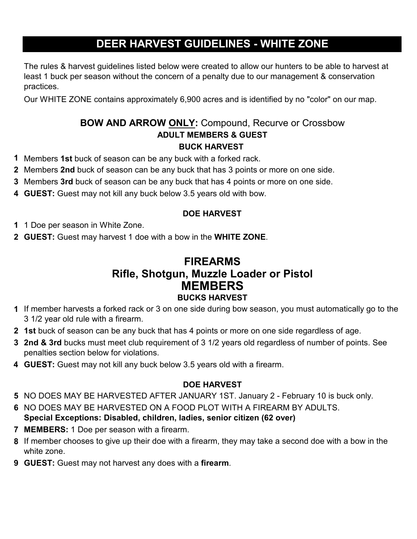### **DEER HARVEST GUIDELINES - WHITE ZONE**

The rules & harvest guidelines listed below were created to allow our hunters to be able to harvest at least 1 buck per season without the concern of a penalty due to our management & conservation practices.

Our WHITE ZONE contains approximately 6,900 acres and is identified by no "color" on our map.

#### **BOW AND ARROW ONLY:** Compound, Recurve or Crossbow **ADULT MEMBERS & GUEST BUCK HARVEST**

- **1** Members **1st** buck of season can be any buck with a forked rack.
- **2** Members **2nd** buck of season can be any buck that has 3 points or more on one side.
- **3** Members **3rd** buck of season can be any buck that has 4 points or more on one side.
- **4 GUEST:** Guest may not kill any buck below 3.5 years old with bow.

#### **DOE HARVEST**

- **1** 1 Doe per season in White Zone.
- **2 GUEST:** Guest may harvest 1 doe with a bow in the **WHITE ZONE**.

#### **FIREARMS MEMBERS BUCKS HARVEST Rifle, Shotgun, Muzzle Loader or Pistol**

- **1** If member harvests a forked rack or 3 on one side during bow season, you must automatically go to the 3 1/2 year old rule with a firearm.
- **2 1st** buck of season can be any buck that has 4 points or more on one side regardless of age.
- **3 2nd & 3rd** bucks must meet club requirement of 3 1/2 years old regardless of number of points. See penalties section below for violations.
- **4 GUEST:** Guest may not kill any buck below 3.5 years old with a firearm.

#### **DOE HARVEST**

- **5** NO DOES MAY BE HARVESTED AFTER JANUARY 1ST. January 2 February 10 is buck only.
- **6** NO DOES MAY BE HARVESTED ON A FOOD PLOT WITH A FIREARM BY ADULTS. **Special Exceptions: Disabled, children, ladies, senior citizen (62 over)**
- **7 MEMBERS:** 1 Doe per season with a firearm.
- **8** If member chooses to give up their doe with a firearm, they may take a second doe with a bow in the white zone.
- **9 GUEST:** Guest may not harvest any does with a **firearm**.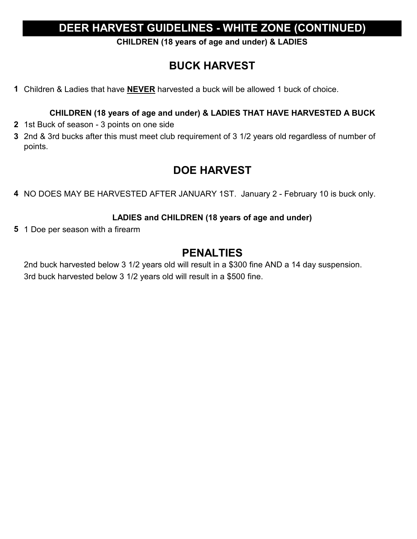#### **DEER HARVEST GUIDELINES - WHITE ZONE (CONTINUED)**

**CHILDREN (18 years of age and under) & LADIES**

### **BUCK HARVEST**

**1** Children & Ladies that have **NEVER** harvested a buck will be allowed 1 buck of choice.

#### **CHILDREN (18 years of age and under) & LADIES THAT HAVE HARVESTED A BUCK**

- **2** 1st Buck of season 3 points on one side
- **3** 2nd & 3rd bucks after this must meet club requirement of 3 1/2 years old regardless of number of points.

#### **DOE HARVEST**

**4** NO DOES MAY BE HARVESTED AFTER JANUARY 1ST. January 2 - February 10 is buck only.

#### **LADIES and CHILDREN (18 years of age and under)**

**5** 1 Doe per season with a firearm

#### **PENALTIES**

2nd buck harvested below 3 1/2 years old will result in a \$300 fine AND a 14 day suspension. 3rd buck harvested below 3 1/2 years old will result in a \$500 fine.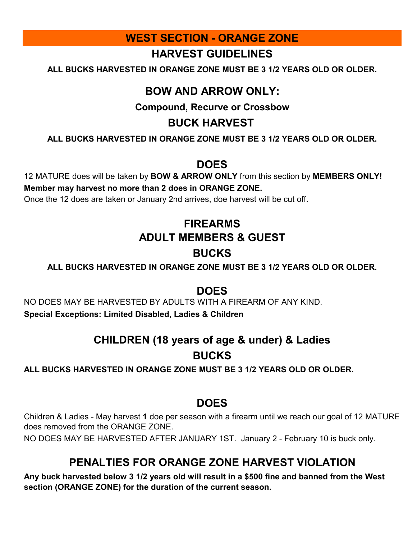#### **WEST SECTION - ORANGE ZONE**

#### **HARVEST GUIDELINES**

**ALL BUCKS HARVESTED IN ORANGE ZONE MUST BE 3 1/2 YEARS OLD OR OLDER.**

#### **BOW AND ARROW ONLY:**

#### **Compound, Recurve or Crossbow**

#### **BUCK HARVEST**

**ALL BUCKS HARVESTED IN ORANGE ZONE MUST BE 3 1/2 YEARS OLD OR OLDER.**

#### **DOES**

12 MATURE does will be taken by **BOW & ARROW ONLY** from this section by **MEMBERS ONLY! Member may harvest no more than 2 does in ORANGE ZONE.**

Once the 12 does are taken or January 2nd arrives, doe harvest will be cut off.

### **BUCKS ADULT MEMBERS & GUEST FIREARMS**

**ALL BUCKS HARVESTED IN ORANGE ZONE MUST BE 3 1/2 YEARS OLD OR OLDER.**

#### **DOES**

NO DOES MAY BE HARVESTED BY ADULTS WITH A FIREARM OF ANY KIND. **Special Exceptions: Limited Disabled, Ladies & Children**

### **CHILDREN (18 years of age & under) & Ladies BUCKS**

**ALL BUCKS HARVESTED IN ORANGE ZONE MUST BE 3 1/2 YEARS OLD OR OLDER.**

#### **DOES**

Children & Ladies - May harvest **1** doe per season with a firearm until we reach our goal of 12 MATURE does removed from the ORANGE ZONE.

NO DOES MAY BE HARVESTED AFTER JANUARY 1ST. January 2 - February 10 is buck only.

### **PENALTIES FOR ORANGE ZONE HARVEST VIOLATION**

**Any buck harvested below 3 1/2 years old will result in a \$500 fine and banned from the West section (ORANGE ZONE) for the duration of the current season.**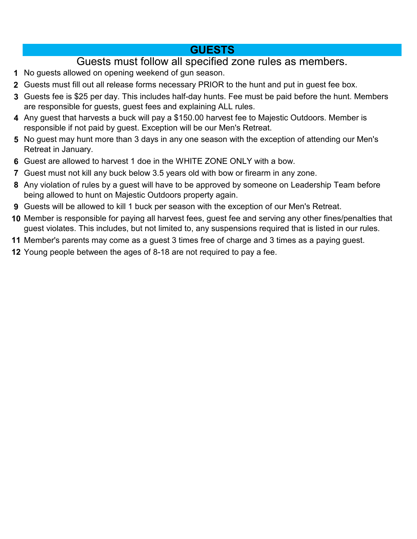#### **GUESTS**

#### Guests must follow all specified zone rules as members.

- No guests allowed on opening weekend of gun season.
- Guests must fill out all release forms necessary PRIOR to the hunt and put in guest fee box.
- Guests fee is \$25 per day. This includes half-day hunts. Fee must be paid before the hunt. Members are responsible for guests, guest fees and explaining ALL rules.
- Any guest that harvests a buck will pay a \$150.00 harvest fee to Majestic Outdoors. Member is responsible if not paid by guest. Exception will be our Men's Retreat.
- No guest may hunt more than 3 days in any one season with the exception of attending our Men's Retreat in January.
- Guest are allowed to harvest 1 doe in the WHITE ZONE ONLY with a bow.
- Guest must not kill any buck below 3.5 years old with bow or firearm in any zone.
- Any violation of rules by a guest will have to be approved by someone on Leadership Team before being allowed to hunt on Majestic Outdoors property again.
- Guests will be allowed to kill 1 buck per season with the exception of our Men's Retreat.
- Member is responsible for paying all harvest fees, guest fee and serving any other fines/penalties that guest violates. This includes, but not limited to, any suspensions required that is listed in our rules.
- Member's parents may come as a guest 3 times free of charge and 3 times as a paying guest.
- Young people between the ages of 8-18 are not required to pay a fee.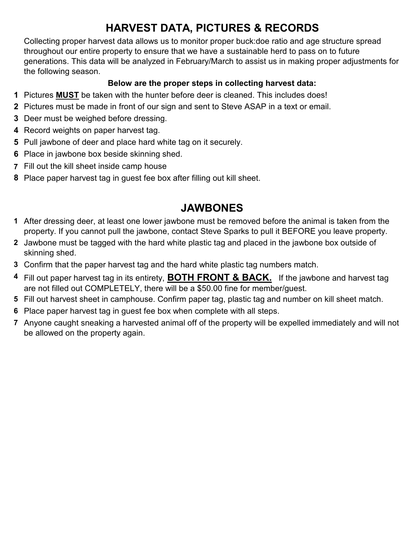### **HARVEST DATA, PICTURES & RECORDS**

Collecting proper harvest data allows us to monitor proper buck:doe ratio and age structure spread throughout our entire property to ensure that we have a sustainable herd to pass on to future generations. This data will be analyzed in February/March to assist us in making proper adjustments for the following season.

#### **Below are the proper steps in collecting harvest data:**

- **1** Pictures **MUST** be taken with the hunter before deer is cleaned. This includes does!
- **2** Pictures must be made in front of our sign and sent to Steve ASAP in a text or email.
- **3** Deer must be weighed before dressing.
- **4** Record weights on paper harvest tag.
- **5** Pull jawbone of deer and place hard white tag on it securely.
- **6** Place in jawbone box beside skinning shed.
- **7** Fill out the kill sheet inside camp house
- **8** Place paper harvest tag in guest fee box after filling out kill sheet.

#### **JAWBONES**

- **1** After dressing deer, at least one lower jawbone must be removed before the animal is taken from the property. If you cannot pull the jawbone, contact Steve Sparks to pull it BEFORE you leave property.
- **2** Jawbone must be tagged with the hard white plastic tag and placed in the jawbone box outside of skinning shed.
- **3** Confirm that the paper harvest tag and the hard white plastic tag numbers match.
- **4** Fill out paper harvest tag in its entirety, **BOTH FRONT & BACK.** If the jawbone and harvest tag are not filled out COMPLETELY, there will be a \$50.00 fine for member/guest.
- **5** Fill out harvest sheet in camphouse. Confirm paper tag, plastic tag and number on kill sheet match.
- **6** Place paper harvest tag in guest fee box when complete with all steps.
- **7** Anyone caught sneaking a harvested animal off of the property will be expelled immediately and will not be allowed on the property again.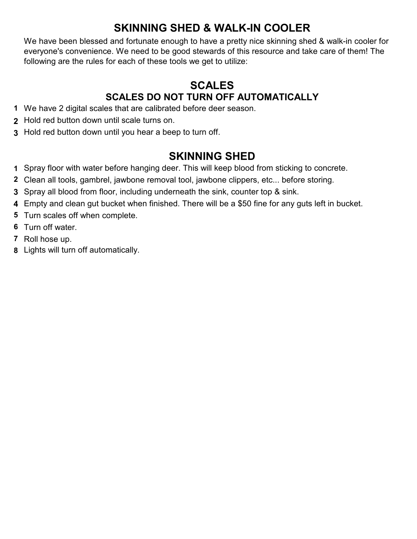### **SKINNING SHED & WALK-IN COOLER**

We have been blessed and fortunate enough to have a pretty nice skinning shed & walk-in cooler for everyone's convenience. We need to be good stewards of this resource and take care of them! The following are the rules for each of these tools we get to utilize:

#### **SCALES SCALES DO NOT TURN OFF AUTOMATICALLY**

- We have 2 digital scales that are calibrated before deer season.
- Hold red button down until scale turns on.
- Hold red button down until you hear a beep to turn off.

#### **SKINNING SHED**

- Spray floor with water before hanging deer. This will keep blood from sticking to concrete.
- Clean all tools, gambrel, jawbone removal tool, jawbone clippers, etc... before storing.
- Spray all blood from floor, including underneath the sink, counter top & sink.
- Empty and clean gut bucket when finished. There will be a \$50 fine for any guts left in bucket.
- Turn scales off when complete.
- Turn off water.
- Roll hose up.
- Lights will turn off automatically.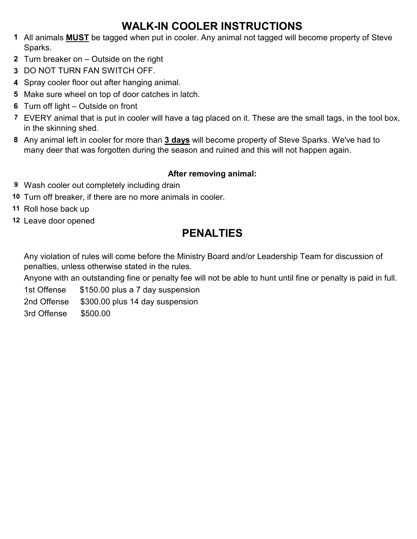### **WALK-IN COOLER INSTRUCTIONS**

- **1** All animals **MUST** be tagged when put in cooler. Any animal not tagged will become property of Steve Sparks.
- **2** Turn breaker on Outside on the right
- **3** DO NOT TURN FAN SWITCH OFF.
- **4** Spray cooler floor out after hanging animal.
- **5** Make sure wheel on top of door catches in latch.
- **6** Turn off light Outside on front
- **7** EVERY animal that is put in cooler will have a tag placed on it. These are the small tags, in the tool box, in the skinning shed.
- **8** Any animal left in cooler for more than **3 days** will become property of Steve Sparks. We've had to many deer that was forgotten during the season and ruined and this will not happen again.

#### **After removing animal:**

- **9** Wash cooler out completely including drain
- **10** Turn off breaker, if there are no more animals in cooler.
- **11** Roll hose back up
- **12** Leave door opened

### **PENALTIES**

Any violation of rules will come before the Ministry Board and/or Leadership Team for discussion of penalties, unless otherwise stated in the rules.

Anyone with an outstanding fine or penalty fee will not be able to hunt until fine or penalty is paid in full.

1st Offense \$150.00 plus a 7 day suspension

2nd Offense \$300.00 plus 14 day suspension

3rd Offense \$500.00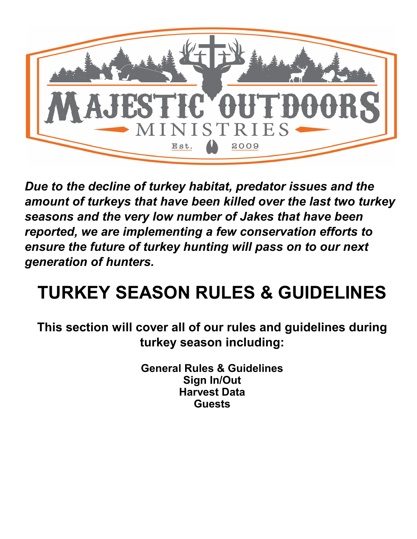

*Due to the decline of turkey habitat, predator issues and the amount of turkeys that have been killed over the last two turkey seasons and the very low number of Jakes that have been reported, we are implementing a few conservation efforts to ensure the future of turkey hunting will pass on to our next generation of hunters.*

## **TURKEY SEASON RULES & GUIDELINES**

**This section will cover all of our rules and guidelines during turkey season including:**

> **General Rules & Guidelines Guests Harvest Data Sign In/Out**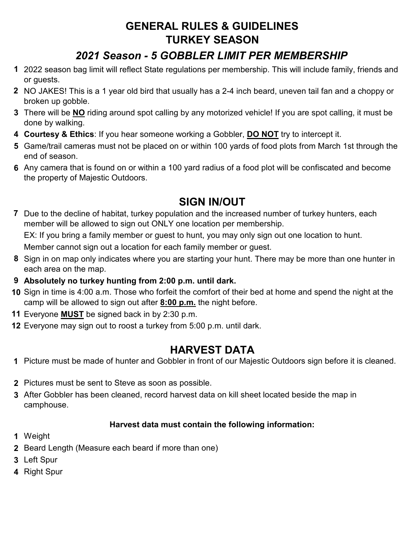### **GENERAL RULES & GUIDELINES TURKEY SEASON**

### *2021 Season - 5 GOBBLER LIMIT PER MEMBERSHIP*

- **1** 2022 season bag limit will reflect State regulations per membership. This will include family, friends and or guests.
- **2** NO JAKES! This is a 1 year old bird that usually has a 2-4 inch beard, uneven tail fan and a choppy or broken up gobble.
- **3** There will be **NO** riding around spot calling by any motorized vehicle! If you are spot calling, it must be done by walking.
- **4 Courtesy & Ethics**: If you hear someone working a Gobbler, **DO NOT** try to intercept it.
- **5** Game/trail cameras must not be placed on or within 100 yards of food plots from March 1st through the end of season.
- **6** Any camera that is found on or within a 100 yard radius of a food plot will be confiscated and become the property of Majestic Outdoors.

### **SIGN IN/OUT**

**7** Due to the decline of habitat, turkey population and the increased number of turkey hunters, each member will be allowed to sign out ONLY one location per membership.

EX: If you bring a family member or guest to hunt, you may only sign out one location to hunt.

Member cannot sign out a location for each family member or guest.

- **8** Sign in on map only indicates where you are starting your hunt. There may be more than one hunter in each area on the map.
- **9 Absolutely no turkey hunting from 2:00 p.m. until dark.**
- **10** Sign in time is 4:00 a.m. Those who forfeit the comfort of their bed at home and spend the night at the camp will be allowed to sign out after **8:00 p.m.** the night before.
- **11** Everyone **MUST** be signed back in by 2:30 p.m.
- **12** Everyone may sign out to roost a turkey from 5:00 p.m. until dark.

### **HARVEST DATA**

- **1** Picture must be made of hunter and Gobbler in front of our Majestic Outdoors sign before it is cleaned.
- **2** Pictures must be sent to Steve as soon as possible.
- **3** After Gobbler has been cleaned, record harvest data on kill sheet located beside the map in camphouse.

#### **Harvest data must contain the following information:**

- **1** Weight
- **2** Beard Length (Measure each beard if more than one)
- **3** Left Spur
- **4** Right Spur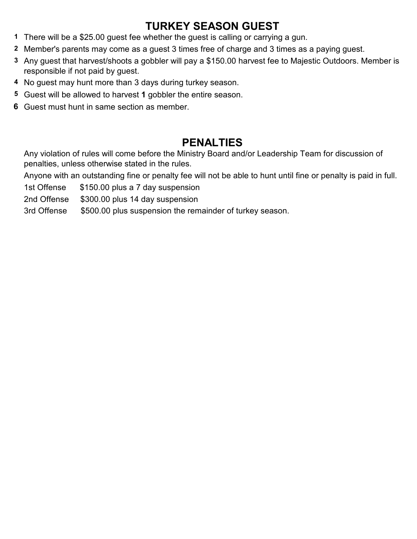### **TURKEY SEASON GUEST**

- **1** There will be a \$25.00 guest fee whether the guest is calling or carrying a gun.
- **2** Member's parents may come as a guest 3 times free of charge and 3 times as a paying guest.
- **3** Any guest that harvest/shoots a gobbler will pay a \$150.00 harvest fee to Majestic Outdoors. Member is responsible if not paid by guest.
- **4** No guest may hunt more than 3 days during turkey season.
- **5** Guest will be allowed to harvest **1** gobbler the entire season.
- **6** Guest must hunt in same section as member.

#### **PENALTIES**

Any violation of rules will come before the Ministry Board and/or Leadership Team for discussion of penalties, unless otherwise stated in the rules.

Anyone with an outstanding fine or penalty fee will not be able to hunt until fine or penalty is paid in full.

1st Offense \$150.00 plus a 7 day suspension

2nd Offense \$300.00 plus 14 day suspension

3rd Offense \$500.00 plus suspension the remainder of turkey season.